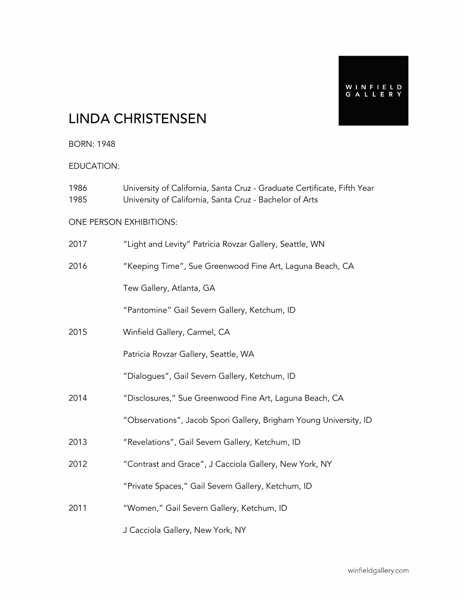WINFIELD<br>GALLERY

# LINDA CHRISTENSEN

BORN: 1948

EDUCATION:

| 1986<br>1985 | University of California, Santa Cruz - Graduate Certificate, Fifth Year<br>University of California, Santa Cruz - Bachelor of Arts |
|--------------|------------------------------------------------------------------------------------------------------------------------------------|
|              | ONE PERSON EXHIBITIONS:                                                                                                            |
| 2017         | "Light and Levity" Patricia Rovzar Gallery, Seattle, WN                                                                            |
| 2016         | "Keeping Time", Sue Greenwood Fine Art, Laguna Beach, CA                                                                           |
|              | Tew Gallery, Atlanta, GA                                                                                                           |
|              | "Pantomine" Gail Severn Gallery, Ketchum, ID                                                                                       |
| 2015         | Winfield Gallery, Carmel, CA                                                                                                       |
|              | Patricia Rovzar Gallery, Seattle, WA                                                                                               |
|              | "Dialogues", Gail Severn Gallery, Ketchum, ID                                                                                      |
| 2014         | "Disclosures," Sue Greenwood Fine Art, Laguna Beach, CA                                                                            |
|              | "Observations", Jacob Spori Gallery, Brigham Young University, ID                                                                  |
| 2013         | "Revelations", Gail Severn Gallery, Ketchum, ID                                                                                    |
| 2012         | "Contrast and Grace", J Cacciola Gallery, New York, NY                                                                             |
|              | "Private Spaces," Gail Severn Gallery, Ketchum, ID                                                                                 |
| 2011         | "Women," Gail Severn Gallery, Ketchum, ID                                                                                          |
|              | J Cacciola Gallery, New York, NY                                                                                                   |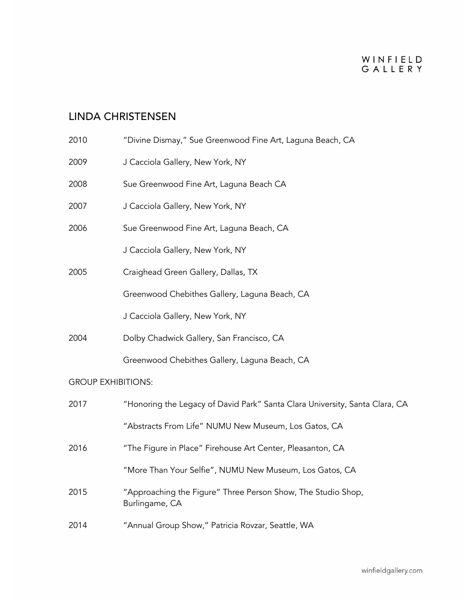# WINFIELD<br>GALLERY

## LINDA CHRISTENSEN

| 2010                      | "Divine Dismay," Sue Greenwood Fine Art, Laguna Beach, CA                      |  |  |  |
|---------------------------|--------------------------------------------------------------------------------|--|--|--|
| 2009                      | J Cacciola Gallery, New York, NY                                               |  |  |  |
| 2008                      | Sue Greenwood Fine Art, Laguna Beach CA                                        |  |  |  |
| 2007                      | J Cacciola Gallery, New York, NY                                               |  |  |  |
| 2006                      | Sue Greenwood Fine Art, Laguna Beach, CA                                       |  |  |  |
|                           | J Cacciola Gallery, New York, NY                                               |  |  |  |
| 2005                      | Craighead Green Gallery, Dallas, TX                                            |  |  |  |
|                           | Greenwood Chebithes Gallery, Laguna Beach, CA                                  |  |  |  |
|                           | J Cacciola Gallery, New York, NY                                               |  |  |  |
| 2004                      | Dolby Chadwick Gallery, San Francisco, CA                                      |  |  |  |
|                           | Greenwood Chebithes Gallery, Laguna Beach, CA                                  |  |  |  |
| <b>GROUP EXHIBITIONS:</b> |                                                                                |  |  |  |
| 2017                      | "Honoring the Legacy of David Park" Santa Clara University, Santa Clara, CA    |  |  |  |
|                           | "Abstracts From Life" NUMU New Museum, Los Gatos, CA                           |  |  |  |
| 2016                      | "The Figure in Place" Firehouse Art Center, Pleasanton, CA                     |  |  |  |
|                           | "More Than Your Selfie", NUMU New Museum, Los Gatos, CA                        |  |  |  |
| 2015                      | "Approaching the Figure" Three Person Show, The Studio Shop,<br>Burlingame, CA |  |  |  |
| 2014                      | "Annual Group Show," Patricia Rovzar, Seattle, WA                              |  |  |  |
|                           |                                                                                |  |  |  |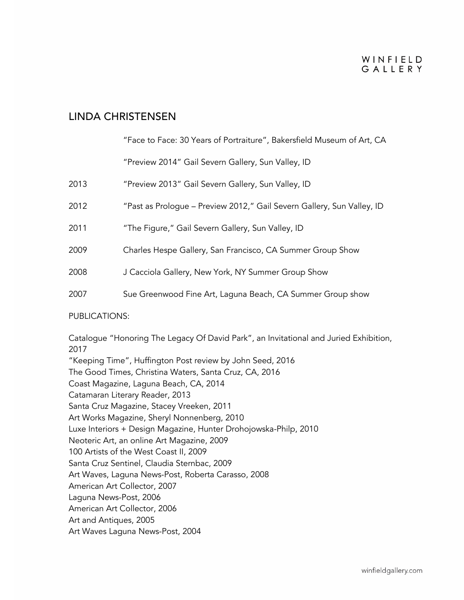#### WINFIELD GAILERY

#### LINDA CHRISTENSEN

#### "Face to Face: 30 Years of Portraiture", Bakersfield Museum of Art, CA

"Preview 2014" Gail Severn Gallery, Sun Valley, ID

| 2013 | "Preview 2013" Gail Severn Gallery, Sun Valley, ID |  |  |  |  |
|------|----------------------------------------------------|--|--|--|--|
|------|----------------------------------------------------|--|--|--|--|

- 2012 "Past as Prologue Preview 2012," Gail Severn Gallery, Sun Valley, ID
- 2011 "The Figure," Gail Severn Gallery, Sun Valley, ID
- 2009 Charles Hespe Gallery, San Francisco, CA Summer Group Show
- 2008 J Cacciola Gallery, New York, NY Summer Group Show
- 2007 Sue Greenwood Fine Art, Laguna Beach, CA Summer Group show

#### PUBLICATIONS:

Catalogue "Honoring The Legacy Of David Park", an Invitational and Juried Exhibition, 2017 "Keeping Time", Huffington Post review by John Seed, 2016 The Good Times, Christina Waters, Santa Cruz, CA, 2016 Coast Magazine, Laguna Beach, CA, 2014 Catamaran Literary Reader, 2013 Santa Cruz Magazine, Stacey Vreeken, 2011 Art Works Magazine, Sheryl Nonnenberg, 2010 Luxe Interiors + Design Magazine, Hunter Drohojowska-Philp, 2010 Neoteric Art, an online Art Magazine, 2009 100 Artists of the West Coast II, 2009 Santa Cruz Sentinel, Claudia Sternbac, 2009 Art Waves, Laguna News-Post, Roberta Carasso, 2008 American Art Collector, 2007 Laguna News-Post, 2006 American Art Collector, 2006 Art and Antiques, 2005 Art Waves Laguna News-Post, 2004